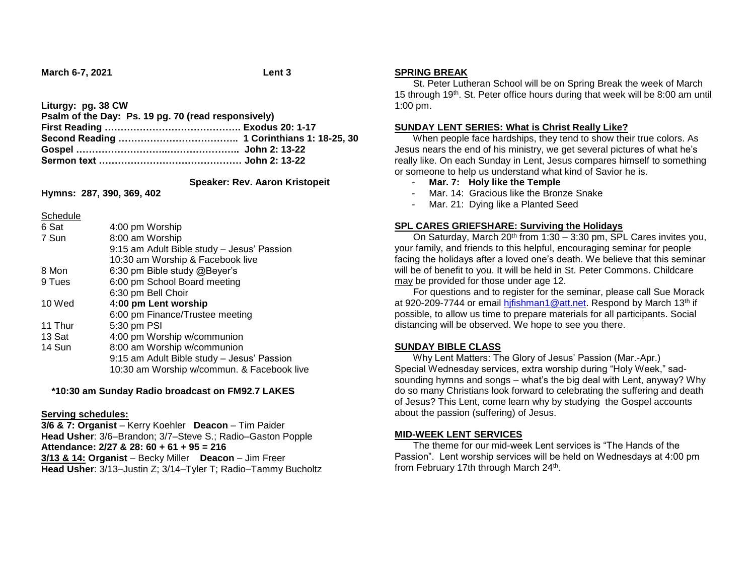**March 6-7, 2021 Lent 3**

**Liturgy: pg. 38 CW**

| Psalm of the Day: Ps. 19 pg. 70 (read responsively) |  |
|-----------------------------------------------------|--|
|                                                     |  |
|                                                     |  |
|                                                     |  |
|                                                     |  |

 **Speaker: Rev. Aaron Kristopeit**

**Hymns: 287, 390, 369, 402**

Schedule

| 6 Sat   | 4:00 pm Worship                            |  |
|---------|--------------------------------------------|--|
| 7 Sun   | 8:00 am Worship                            |  |
|         | 9:15 am Adult Bible study - Jesus' Passion |  |
|         | 10:30 am Worship & Facebook live           |  |
| 8 Mon   | 6:30 pm Bible study @Beyer's               |  |
| 9 Tues  | 6:00 pm School Board meeting               |  |
|         | 6:30 pm Bell Choir                         |  |
| 10 Wed  | 4:00 pm Lent worship                       |  |
|         | 6:00 pm Finance/Trustee meeting            |  |
| 11 Thur | 5:30 pm PSI                                |  |
| 13 Sat  | 4:00 pm Worship w/communion                |  |
| 14 Sun  | 8:00 am Worship w/communion                |  |
|         | 9:15 am Adult Bible study - Jesus' Passion |  |
|         | 10:30 am Worship w/commun. & Facebook live |  |
|         |                                            |  |

## **\*10:30 am Sunday Radio broadcast on FM92.7 LAKES**

## **Serving schedules:**

**3/6 & 7: Organist** – Kerry Koehler **Deacon** – Tim Paider **Head Usher**: 3/6–Brandon; 3/7–Steve S.; Radio–Gaston Popple **Attendance: 2/27 & 28: 60 + 61 + 95 = 216 3/13 & 14: Organist** – Becky Miller **Deacon** – Jim Freer **Head Usher**: 3/13–Justin Z; 3/14–Tyler T; Radio–Tammy Bucholtz

#### **SPRING BREAK**

 St. Peter Lutheran School will be on Spring Break the week of March 15 through 19th. St. Peter office hours during that week will be 8:00 am until 1:00 pm.

### **SUNDAY LENT SERIES: What is Christ Really Like?**

 When people face hardships, they tend to show their true colors. As Jesus nears the end of his ministry, we get several pictures of what he's really like. On each Sunday in Lent, Jesus compares himself to something or someone to help us understand what kind of Savior he is.

- **Mar. 7: Holy like the Temple**
- Mar. 14: Gracious like the Bronze Snake
- Mar. 21: Dying like a Planted Seed

#### **SPL CARES GRIEFSHARE: Surviving the Holidays**

On Saturday, March 20<sup>th</sup> from 1:30 – 3:30 pm, SPL Cares invites you, your family, and friends to this helpful, encouraging seminar for people facing the holidays after a loved one's death. We believe that this seminar will be of benefit to you. It will be held in St. Peter Commons. Childcare may be provided for those under age 12.

 For questions and to register for the seminar, please call Sue Morack at 920-209-7744 or email hifishman1@att.net. Respond by March 13th if possible, to allow us time to prepare materials for all participants. Social distancing will be observed. We hope to see you there.

## **SUNDAY BIBLE CLASS**

 Why Lent Matters: The Glory of Jesus' Passion (Mar.-Apr.) Special Wednesday services, extra worship during "Holy Week," sadsounding hymns and songs – what's the big deal with Lent, anyway? Why do so many Christians look forward to celebrating the suffering and death of Jesus? This Lent, come learn why by studying the Gospel accounts about the passion (suffering) of Jesus.

## **MID-WEEK LENT SERVICES**

 The theme for our mid-week Lent services is "The Hands of the Passion". Lent worship services will be held on Wednesdays at 4:00 pm from February 17th through March 24<sup>th</sup>.